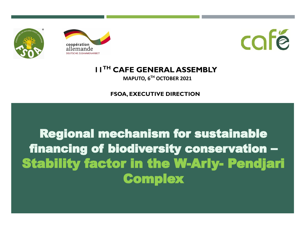





### **11TH CAFE GENERAL ASSEMBLY**

#### **MAPUTO, 6TH OCTOBER 2021**

### **FSOA, EXECUTIVE DIRECTION**

### Regional mechanism for sustainable financing of biodiversity conservation – Stability factor in the W-Arly- Pendjari **Complex**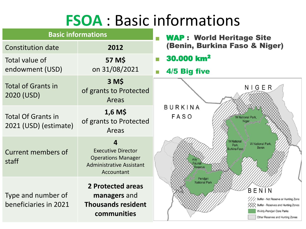## **FSOA** : Basic informations